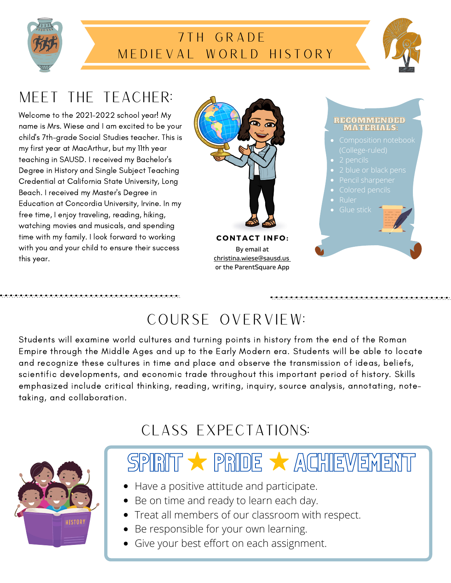

### 7TH G R A DE MEDIEVAL WORLD HISTORY



# Meet the teacher:

Welcome to the 2021-2022 school year! My name is Mrs. Wiese and I am excited to be your child's 7th-grade Social Studies teacher. This is my first year at MacArthur, but my 11th year teaching in SAUSD. I received my Bachelor's Degree in History and Single Subject Teaching Credential at California State University, Long Beach. I received my Master's Degree in Education at Concordia University, Irvine. In my free time, I enjoy traveling, reading, hiking, watching movies and musicals, and spending time with my family. I look forward to working with you and your child to ensure their success this year.

▎▖▟▗▗▊▖▟▗▗▊▖█▗█▗█▗█▗█▖█▗▊▖▊▗▊▖█▗█▗█▗█▗█▗█▏▅▊▖█▗█▗█▗█▝█▝█▝█▖█▖█▖█▖█▖█▖█▖█▖█▖



## COURSE OVERVIEW:

Students will examine world cultures and turning points in history from the end of the Roman Empire through the Middle Ages and up to the Early Modern era. Students will be able to locate and recognize these cultures in time and place and observe the transmission of ideas, beliefs, scientific developments, and economic trade throughout this important period of history. Skills emphasized include critical thinking, reading, writing, inquiry, source analysis, annotating, notetaking, and collaboration.

# CLASS EXPECTATIONS:



# $SPIRIT \star PRIDE \star AGHIEVEMENT$

- Have a positive attitude and participate.
- Be on time and ready to learn each day.
- Treat all members of our classroom with respect.
- Be responsible for your own learning.
- Give your best effort on each assignment.